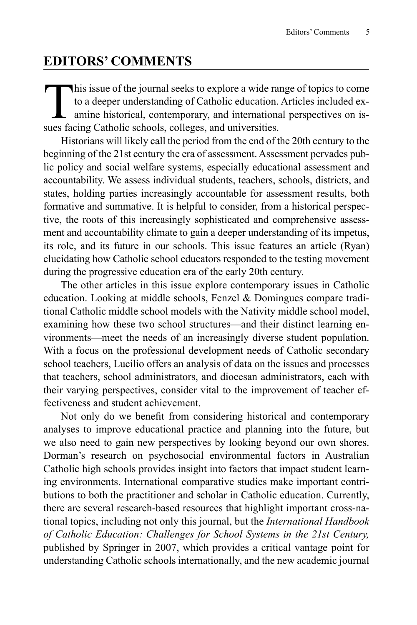## **EDITORS' COMMENTS**

This issue of the journal seeks to explore a wide range of topics to come<br>to a deeper understanding of Catholic education. Articles included ex-<br>amine historical, contemporary, and international perspectives on is-<br>gues fo to a deeper understanding of Catholic education. Articles included examine historical, contemporary, and international perspectives on issues facing Catholic schools, colleges, and universities.

Historians will likely call the period from the end of the 20th century to the beginning of the 21st century the era of assessment. Assessment pervades public policy and social welfare systems, especially educational assessment and accountability. We assess individual students, teachers, schools, districts, and states, holding parties increasingly accountable for assessment results, both formative and summative. It is helpful to consider, from a historical perspective, the roots of this increasingly sophisticated and comprehensive assessment and accountability climate to gain a deeper understanding of its impetus, its role, and its future in our schools. This issue features an article (Ryan) elucidating how Catholic school educators responded to the testing movement during the progressive education era of the early 20th century.

The other articles in this issue explore contemporary issues in Catholic education. Looking at middle schools, Fenzel & Domingues compare traditional Catholic middle school models with the Nativity middle school model, examining how these two school structures—and their distinct learning environments—meet the needs of an increasingly diverse student population. With a focus on the professional development needs of Catholic secondary school teachers, Lucilio offers an analysis of data on the issues and processes that teachers, school administrators, and diocesan administrators, each with their varying perspectives, consider vital to the improvement of teacher effectiveness and student achievement.

Not only do we benefit from considering historical and contemporary analyses to improve educational practice and planning into the future, but we also need to gain new perspectives by looking beyond our own shores. Dorman's research on psychosocial environmental factors in Australian Catholic high schools provides insight into factors that impact student learning environments. International comparative studies make important contributions to both the practitioner and scholar in Catholic education. Currently, there are several research-based resources that highlight important cross-national topics, including not only this journal, but the *International Handbook of Catholic Education: Challenges for School Systems in the 21st Century,*  published by Springer in 2007, which provides a critical vantage point for understanding Catholic schools internationally, and the new academic journal